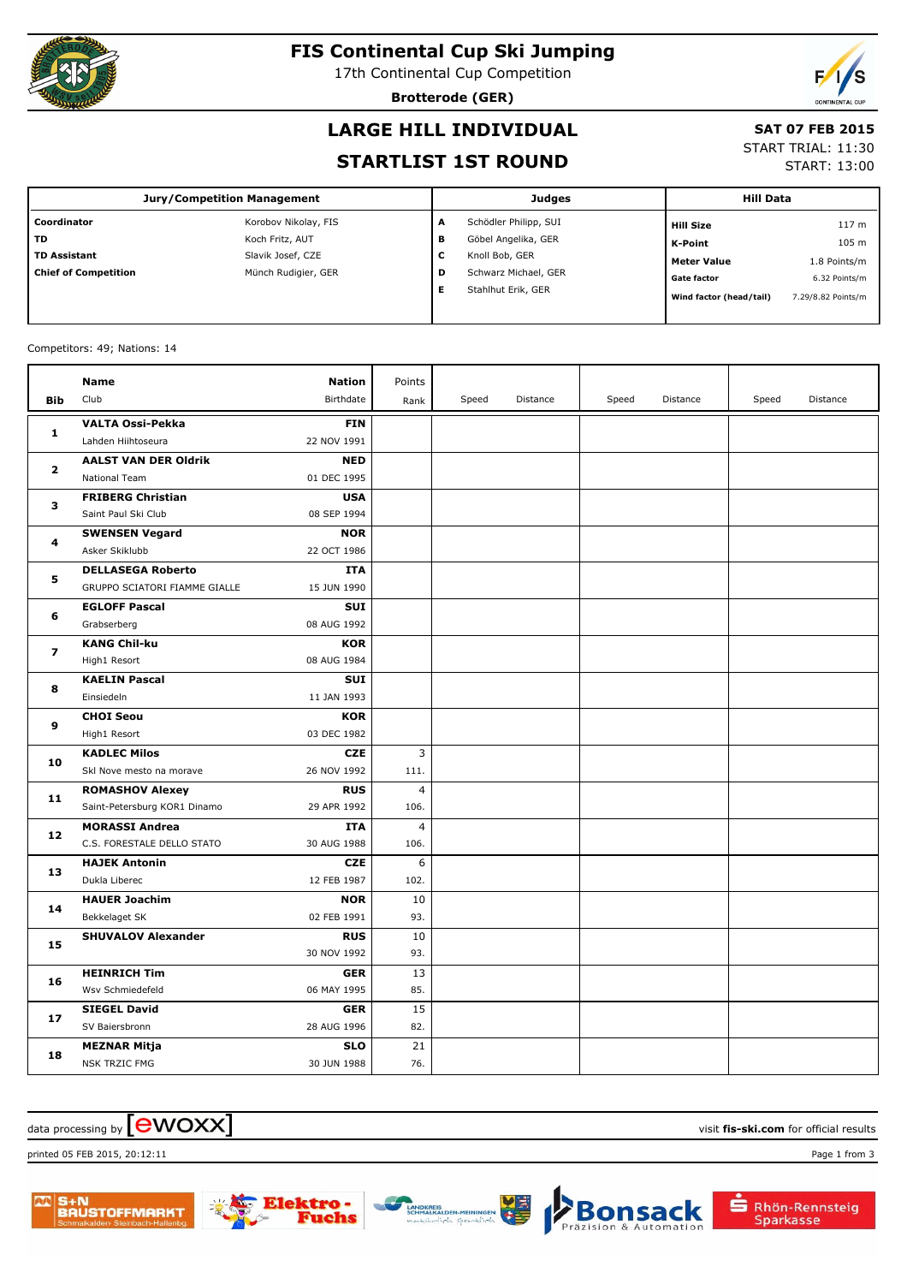

### **FIS Continental Cup Ski Jumping**

17th Continental Cup Competition

**Brotterode (GER)**



# **LARGE HILL INDIVIDUAL**

#### **SAT 07 FEB 2015**

#### **STARTLIST 1ST ROUND**

START TRIAL: 11:30

START: 13:00

|                             | Jury/Competition Management |   | <b>Judges</b>         | <b>Hill Data</b>        |                    |
|-----------------------------|-----------------------------|---|-----------------------|-------------------------|--------------------|
| Coordinator                 | Korobov Nikolay, FIS        | A | Schödler Philipp, SUI | <b>Hill Size</b>        | 117 <sub>m</sub>   |
| <b>TD</b>                   | Koch Fritz, AUT             | в | Göbel Angelika, GER   | K-Point                 | 105 m              |
| <b>TD Assistant</b>         | Slavik Josef, CZE           | c | Knoll Bob, GER        | <b>Meter Value</b>      | 1.8 Points/m       |
| <b>Chief of Competition</b> | Münch Rudigier, GER         | D | Schwarz Michael, GER  | <b>Gate factor</b>      | 6.32 Points/m      |
|                             |                             | Е | Stahlhut Erik, GER    | Wind factor (head/tail) | 7.29/8.82 Points/m |

#### Competitors: 49; Nations: 14

|              | <b>Name</b>                   | <b>Nation</b> | Points         |       |          |       |          |       |          |
|--------------|-------------------------------|---------------|----------------|-------|----------|-------|----------|-------|----------|
| <b>Bib</b>   | Club                          | Birthdate     | Rank           | Speed | Distance | Speed | Distance | Speed | Distance |
| 1            | <b>VALTA Ossi-Pekka</b>       | <b>FIN</b>    |                |       |          |       |          |       |          |
|              | Lahden Hiihtoseura            | 22 NOV 1991   |                |       |          |       |          |       |          |
| $\mathbf{z}$ | <b>AALST VAN DER Oldrik</b>   | <b>NED</b>    |                |       |          |       |          |       |          |
|              | National Team                 | 01 DEC 1995   |                |       |          |       |          |       |          |
| з            | <b>FRIBERG Christian</b>      | <b>USA</b>    |                |       |          |       |          |       |          |
|              | Saint Paul Ski Club           | 08 SEP 1994   |                |       |          |       |          |       |          |
| 4            | <b>SWENSEN Vegard</b>         | <b>NOR</b>    |                |       |          |       |          |       |          |
|              | Asker Skiklubb                | 22 OCT 1986   |                |       |          |       |          |       |          |
| 5            | <b>DELLASEGA Roberto</b>      | ITA           |                |       |          |       |          |       |          |
|              | GRUPPO SCIATORI FIAMME GIALLE | 15 JUN 1990   |                |       |          |       |          |       |          |
| 6            | <b>EGLOFF Pascal</b>          | <b>SUI</b>    |                |       |          |       |          |       |          |
|              | Grabserberg                   | 08 AUG 1992   |                |       |          |       |          |       |          |
| 7            | <b>KANG Chil-ku</b>           | <b>KOR</b>    |                |       |          |       |          |       |          |
|              | High1 Resort                  | 08 AUG 1984   |                |       |          |       |          |       |          |
| 8            | <b>KAELIN Pascal</b>          | <b>SUI</b>    |                |       |          |       |          |       |          |
|              | Einsiedeln                    | 11 JAN 1993   |                |       |          |       |          |       |          |
| 9            | <b>CHOI Seou</b>              | <b>KOR</b>    |                |       |          |       |          |       |          |
|              | High1 Resort                  | 03 DEC 1982   |                |       |          |       |          |       |          |
| 10           | <b>KADLEC Milos</b>           | <b>CZE</b>    | 3              |       |          |       |          |       |          |
|              | Skl Nove mesto na morave      | 26 NOV 1992   | 111.           |       |          |       |          |       |          |
| 11           | <b>ROMASHOV Alexey</b>        | <b>RUS</b>    | $\overline{4}$ |       |          |       |          |       |          |
|              | Saint-Petersburg KOR1 Dinamo  | 29 APR 1992   | 106.           |       |          |       |          |       |          |
| 12           | <b>MORASSI Andrea</b>         | <b>ITA</b>    | $\overline{4}$ |       |          |       |          |       |          |
|              | C.S. FORESTALE DELLO STATO    | 30 AUG 1988   | 106.           |       |          |       |          |       |          |
| 13           | <b>HAJEK Antonin</b>          | <b>CZE</b>    | 6              |       |          |       |          |       |          |
|              | Dukla Liberec                 | 12 FEB 1987   | 102.           |       |          |       |          |       |          |
| 14           | <b>HAUER Joachim</b>          | <b>NOR</b>    | 10             |       |          |       |          |       |          |
|              | Bekkelaget SK                 | 02 FEB 1991   | 93.            |       |          |       |          |       |          |
| 15           | <b>SHUVALOV Alexander</b>     | <b>RUS</b>    | 10             |       |          |       |          |       |          |
|              |                               | 30 NOV 1992   | 93.            |       |          |       |          |       |          |
| 16           | <b>HEINRICH Tim</b>           | <b>GER</b>    | 13             |       |          |       |          |       |          |
|              | Wsv Schmiedefeld              | 06 MAY 1995   | 85.            |       |          |       |          |       |          |
| 17           | <b>SIEGEL David</b>           | <b>GER</b>    | 15             |       |          |       |          |       |          |
|              | SV Baiersbronn                | 28 AUG 1996   | 82.            |       |          |       |          |       |          |
| 18           | <b>MEZNAR Mitja</b>           | <b>SLO</b>    | 21             |       |          |       |          |       |          |
|              | <b>NSK TRZIC FMG</b>          | 30 JUN 1988   | 76.            |       |          |       |          |       |          |

#### $\alpha$  data processing by  $\boxed{\text{ewOX}}$

printed 05 FEB 2015, 20:12:11 Page 1 from 3



che



Rhön-Rennsteig

Sparkasse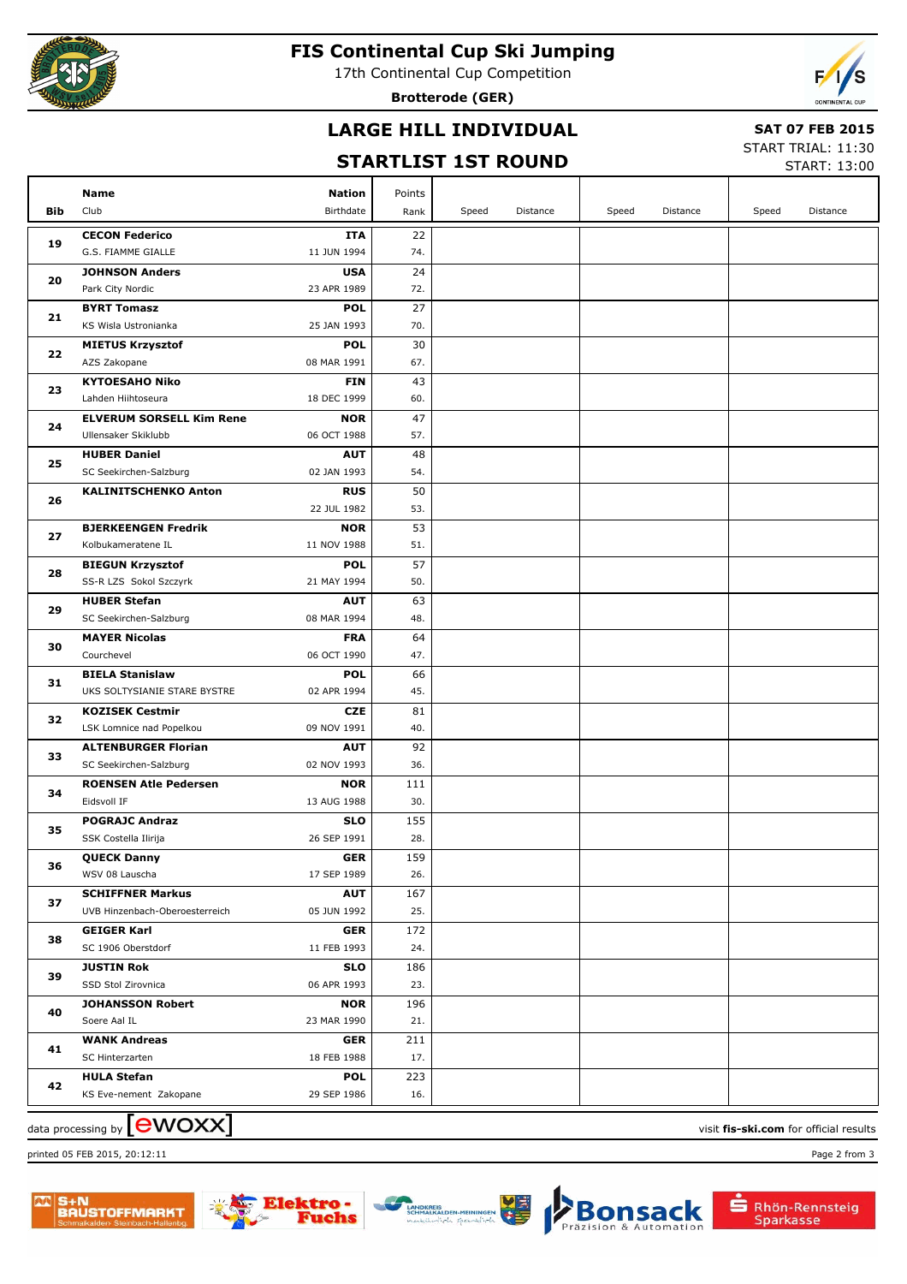

#### **FIS Continental Cup Ski Jumping**

17th Continental Cup Competition

**Brotterode (GER)**



### **LARGE HILL INDIVIDUAL**

#### **SAT 07 FEB 2015**

## **STARTLIST 1ST ROUND**

START TRIAL: 11:30 START: 13:00

|            |                                                    |                           | JIMNI LLJI | 191 I.V |          |       |          |       | START: 13:00 |
|------------|----------------------------------------------------|---------------------------|------------|---------|----------|-------|----------|-------|--------------|
|            | <b>Name</b>                                        | <b>Nation</b>             | Points     |         |          |       |          |       |              |
| <b>Bib</b> | Club                                               | Birthdate                 | Rank       | Speed   | Distance | Speed | Distance | Speed | Distance     |
|            | <b>CECON Federico</b>                              | <b>ITA</b>                | 22         |         |          |       |          |       |              |
| 19         | G.S. FIAMME GIALLE                                 | 11 JUN 1994               | 74.        |         |          |       |          |       |              |
|            | <b>JOHNSON Anders</b>                              | <b>USA</b>                | 24         |         |          |       |          |       |              |
| 20         | Park City Nordic                                   | 23 APR 1989               | 72.        |         |          |       |          |       |              |
|            | <b>BYRT Tomasz</b>                                 | <b>POL</b>                | 27         |         |          |       |          |       |              |
| 21         | KS Wisla Ustronianka                               | 25 JAN 1993               | 70.        |         |          |       |          |       |              |
|            | <b>MIETUS Krzysztof</b>                            | <b>POL</b>                | 30         |         |          |       |          |       |              |
| 22         | AZS Zakopane                                       | 08 MAR 1991               | 67.        |         |          |       |          |       |              |
|            | <b>KYTOESAHO Niko</b>                              | <b>FIN</b>                | 43         |         |          |       |          |       |              |
| 23         | Lahden Hiihtoseura                                 | 18 DEC 1999               | 60.        |         |          |       |          |       |              |
|            | <b>ELVERUM SORSELL Kim Rene</b>                    | <b>NOR</b>                | 47         |         |          |       |          |       |              |
| 24         | Ullensaker Skiklubb                                | 06 OCT 1988               | 57.        |         |          |       |          |       |              |
|            | <b>HUBER Daniel</b>                                | <b>AUT</b>                | 48         |         |          |       |          |       |              |
| 25         | SC Seekirchen-Salzburg                             | 02 JAN 1993               | 54.        |         |          |       |          |       |              |
| 26         | <b>KALINITSCHENKO Anton</b>                        | <b>RUS</b>                | 50         |         |          |       |          |       |              |
|            |                                                    | 22 JUL 1982               | 53.        |         |          |       |          |       |              |
| 27         | <b>BJERKEENGEN Fredrik</b>                         | <b>NOR</b>                | 53         |         |          |       |          |       |              |
|            | Kolbukameratene IL                                 | 11 NOV 1988               | 51.        |         |          |       |          |       |              |
| 28         | <b>BIEGUN Krzysztof</b>                            | <b>POL</b>                | 57         |         |          |       |          |       |              |
|            | SS-R LZS Sokol Szczyrk                             | 21 MAY 1994               | 50.        |         |          |       |          |       |              |
| 29         | <b>HUBER Stefan</b>                                | <b>AUT</b>                | 63         |         |          |       |          |       |              |
|            | SC Seekirchen-Salzburg                             | 08 MAR 1994               | 48.        |         |          |       |          |       |              |
| 30         | <b>MAYER Nicolas</b>                               | <b>FRA</b>                | 64         |         |          |       |          |       |              |
|            | Courchevel                                         | 06 OCT 1990               | 47.        |         |          |       |          |       |              |
| 31         | <b>BIELA Stanislaw</b>                             | <b>POL</b>                | 66         |         |          |       |          |       |              |
|            | UKS SOLTYSIANIE STARE BYSTRE                       | 02 APR 1994               | 45.        |         |          |       |          |       |              |
| 32         | <b>KOZISEK Cestmir</b><br>LSK Lomnice nad Popelkou | <b>CZE</b><br>09 NOV 1991 | 81<br>40.  |         |          |       |          |       |              |
|            | <b>ALTENBURGER Florian</b>                         | <b>AUT</b>                | 92         |         |          |       |          |       |              |
| 33         | SC Seekirchen-Salzburg                             | 02 NOV 1993               | 36.        |         |          |       |          |       |              |
|            | <b>ROENSEN Atle Pedersen</b>                       | <b>NOR</b>                | 111        |         |          |       |          |       |              |
| 34         | Eidsvoll IF                                        | 13 AUG 1988               | 30.        |         |          |       |          |       |              |
|            | <b>POGRAJC Andraz</b>                              | <b>SLO</b>                | 155        |         |          |       |          |       |              |
| 35         | SSK Costella Ilirija                               | 26 SEP 1991               | 28.        |         |          |       |          |       |              |
|            | <b>QUECK Danny</b>                                 | <b>GER</b>                | 159        |         |          |       |          |       |              |
| 36         | WSV 08 Lauscha                                     | 17 SEP 1989               | 26.        |         |          |       |          |       |              |
|            | <b>SCHIFFNER Markus</b>                            | <b>AUT</b>                | 167        |         |          |       |          |       |              |
| 37         | UVB Hinzenbach-Oberoesterreich                     | 05 JUN 1992               | 25.        |         |          |       |          |       |              |
| 38         | <b>GEIGER Karl</b>                                 | <b>GER</b>                | 172        |         |          |       |          |       |              |
|            | SC 1906 Oberstdorf                                 | 11 FEB 1993               | 24.        |         |          |       |          |       |              |
| 39         | <b>JUSTIN Rok</b>                                  | <b>SLO</b>                | 186        |         |          |       |          |       |              |
|            | SSD Stol Zirovnica                                 | 06 APR 1993               | 23.        |         |          |       |          |       |              |
| 40         | <b>JOHANSSON Robert</b>                            | <b>NOR</b>                | 196        |         |          |       |          |       |              |
|            | Soere Aal IL                                       | 23 MAR 1990               | 21.        |         |          |       |          |       |              |
| 41         | <b>WANK Andreas</b>                                | <b>GER</b>                | 211        |         |          |       |          |       |              |
|            | SC Hinterzarten                                    | 18 FEB 1988               | 17.        |         |          |       |          |       |              |
| 42         | <b>HULA Stefan</b>                                 | <b>POL</b>                | 223        |         |          |       |          |       |              |
|            | KS Eve-nement Zakopane                             | 29 SEP 1986               | 16.        |         |          |       |          |       |              |

data processing by **CWOXX** and  $\overline{C}$  and  $\overline{C}$  and  $\overline{C}$  and  $\overline{C}$  and  $\overline{C}$  and  $\overline{C}$  and  $\overline{C}$  and  $\overline{C}$  and  $\overline{C}$  and  $\overline{C}$  and  $\overline{C}$  and  $\overline{C}$  and  $\overline{C}$  and  $\overline{C}$  and  $\overline{C}$  printed 05 FEB 2015, 20:12:11 Page 2 from 3